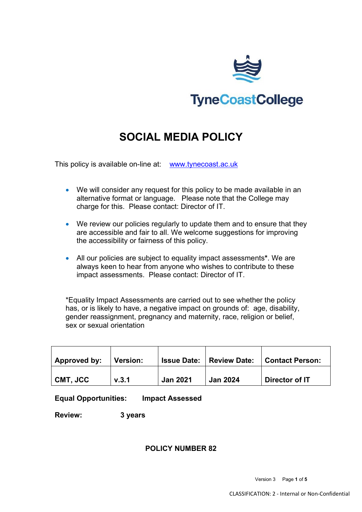

# **SOCIAL MEDIA POLICY**

This policy is available on-line at: [www.tynecoast.ac.uk](http://www.tynecoast.ac.uk/)

- We will consider any request for this policy to be made available in an alternative format or language. Please note that the College may charge for this. Please contact: Director of IT.
- We review our policies regularly to update them and to ensure that they are accessible and fair to all. We welcome suggestions for improving the accessibility or fairness of this policy.
- All our policies are subject to equality impact assessments**\***. We are always keen to hear from anyone who wishes to contribute to these impact assessments. Please contact: Director of IT.

\*Equality Impact Assessments are carried out to see whether the policy has, or is likely to have, a negative impact on grounds of: age, disability, gender reassignment, pregnancy and maternity, race, religion or belief, sex or sexual orientation

| Approved by: | <b>Version:</b> |                 | <b>Issue Date:   Review Date:</b> | Contact Person: |
|--------------|-----------------|-----------------|-----------------------------------|-----------------|
| CMT, JCC     | v.3.1           | <b>Jan 2021</b> | <b>Jan 2024</b>                   | Director of IT  |

**Equal Opportunities: Impact Assessed**

**Review: 3 years**

# **POLICY NUMBER 82**

Version 3 Page **1** of **5**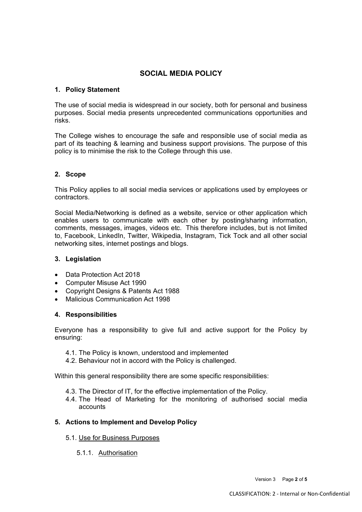# **SOCIAL MEDIA POLICY**

# **1. Policy Statement**

The use of social media is widespread in our society, both for personal and business purposes. Social media presents unprecedented communications opportunities and risks.

The College wishes to encourage the safe and responsible use of social media as part of its teaching & learning and business support provisions. The purpose of this policy is to minimise the risk to the College through this use.

# **2. Scope**

This Policy applies to all social media services or applications used by employees or contractors.

Social Media/Networking is defined as a website, service or other application which enables users to communicate with each other by posting/sharing information, comments, messages, images, videos etc. This therefore includes, but is not limited to, Facebook, LinkedIn, Twitter, Wikipedia, Instagram, Tick Tock and all other social networking sites, internet postings and blogs.

### **3. Legislation**

- Data Protection Act 2018
- Computer Misuse Act 1990
- Copyright Designs & Patents Act 1988
- Malicious Communication Act 1998

# **4. Responsibilities**

Everyone has a responsibility to give full and active support for the Policy by ensuring:

- 4.1. The Policy is known, understood and implemented
- 4.2. Behaviour not in accord with the Policy is challenged.

Within this general responsibility there are some specific responsibilities:

- 4.3. The Director of IT, for the effective implementation of the Policy.
- 4.4. The Head of Marketing for the monitoring of authorised social media accounts

# **5. Actions to Implement and Develop Policy**

- 5.1. Use for Business Purposes
	- 5.1.1. Authorisation

Version 3 Page **2** of **5**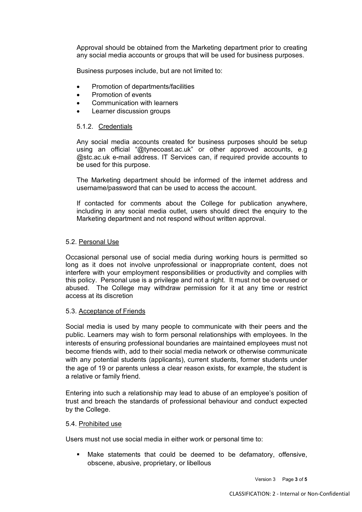Approval should be obtained from the Marketing department prior to creating any social media accounts or groups that will be used for business purposes.

Business purposes include, but are not limited to:

- Promotion of departments/facilities
- Promotion of events
- Communication with learners
- Learner discussion groups

#### 5.1.2. Credentials

Any social media accounts created for business purposes should be setup using an official "@tynecoast.ac.uk" or other approved accounts, e.g @stc.ac.uk e-mail address. IT Services can, if required provide accounts to be used for this purpose.

The Marketing department should be informed of the internet address and username/password that can be used to access the account.

If contacted for comments about the College for publication anywhere, including in any social media outlet, users should direct the enquiry to the Marketing department and not respond without written approval.

#### 5.2. Personal Use

Occasional personal use of social media during working hours is permitted so long as it does not involve unprofessional or inappropriate content, does not interfere with your employment responsibilities or productivity and complies with this policy. Personal use is a privilege and not a right. It must not be overused or abused. The College may withdraw permission for it at any time or restrict access at its discretion

#### 5.3. Acceptance of Friends

Social media is used by many people to communicate with their peers and the public. Learners may wish to form personal relationships with employees. In the interests of ensuring professional boundaries are maintained employees must not become friends with, add to their social media network or otherwise communicate with any potential students (applicants), current students, former students under the age of 19 or parents unless a clear reason exists, for example, the student is a relative or family friend.

Entering into such a relationship may lead to abuse of an employee's position of trust and breach the standards of professional behaviour and conduct expected by the College.

#### 5.4. Prohibited use

Users must not use social media in either work or personal time to:

 Make statements that could be deemed to be defamatory, offensive, obscene, abusive, proprietary, or libellous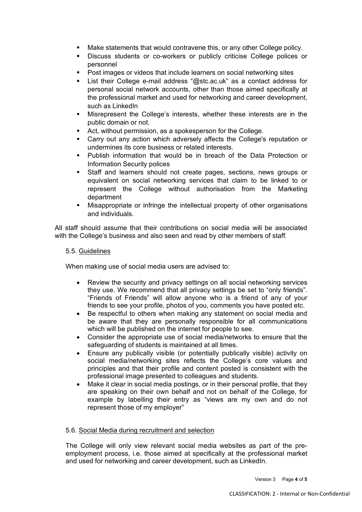- Make statements that would contravene this, or any other College policy.
- Discuss students or co-workers or publicly criticise College polices or personnel
- Post images or videos that include learners on social networking sites
- List their College e-mail address "@stc.ac.uk" as a contact address for personal social network accounts, other than those aimed specifically at the professional market and used for networking and career development, such as LinkedIn
- Misrepresent the College's interests, whether these interests are in the public domain or not.
- Act, without permission, as a spokesperson for the College.
- Carry out any action which adversely affects the College's reputation or undermines its core business or related interests.
- Publish information that would be in breach of the Data Protection or Information Security polices
- Staff and learners should not create pages, sections, news groups or equivalent on social networking services that claim to be linked to or represent the College without authorisation from the Marketing department
- Misappropriate or infringe the intellectual property of other organisations and individuals.

All staff should assume that their contributions on social media will be associated with the College's business and also seen and read by other members of staff.

#### 5.5. Guidelines

When making use of social media users are advised to:

- Review the security and privacy settings on all social networking services they use. We recommend that all privacy settings be set to "only friends". "Friends of Friends" will allow anyone who is a friend of any of your friends to see your profile, photos of you, comments you have posted etc.
- Be respectful to others when making any statement on social media and be aware that they are personally responsible for all communications which will be published on the internet for people to see.
- Consider the appropriate use of social media/networks to ensure that the safeguarding of students is maintained at all times.
- Ensure any publically visible (or potentially publically visible) activity on social media/networking sites reflects the College's core values and principles and that their profile and content posted is consistent with the professional image presented to colleagues and students.
- Make it clear in social media postings, or in their personal profile, that they are speaking on their own behalf and not on behalf of the College, for example by labelling their entry as "views are my own and do not represent those of my employer"

#### 5.6. Social Media during recruitment and selection

The College will only view relevant social media websites as part of the preemployment process, i.e. those aimed at specifically at the professional market and used for networking and career development, such as LinkedIn.